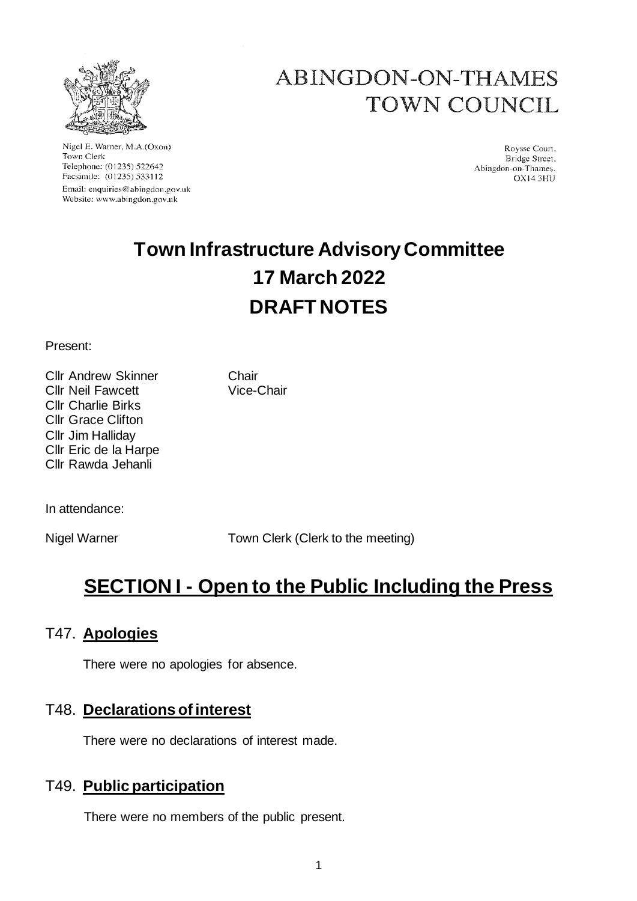

Nigel E. Warner, M.A.(Oxon) Town Clerk Telephone: (01235) 522642 Facsimile: (01235) 533112 Email: enquiries@abingdon.gov.uk Website: www.abingdon.gov.uk

# ABINGDON-ON-THAMES TOWN COUNCIL

Roysse Court. Bridge Street, Abingdon-on-Thames. OX14 3HU

# **Town Infrastructure Advisory Committee 17 March 2022 DRAFT NOTES**

Present:

Cllr Andrew Skinner Chair Cllr Neil Fawcett Vice-Chair Cllr Charlie Birks Cllr Grace Clifton Cllr Jim Halliday Cllr Eric de la Harpe Cllr Rawda Jehanli

In attendance:

Nigel Warner Town Clerk (Clerk to the meeting)

# **SECTION I - Open to the Public Including the Press**

# T47. **Apologies**

There were no apologies for absence.

## T48. **Declarations of interest**

There were no declarations of interest made.

## T49. **Public participation**

There were no members of the public present.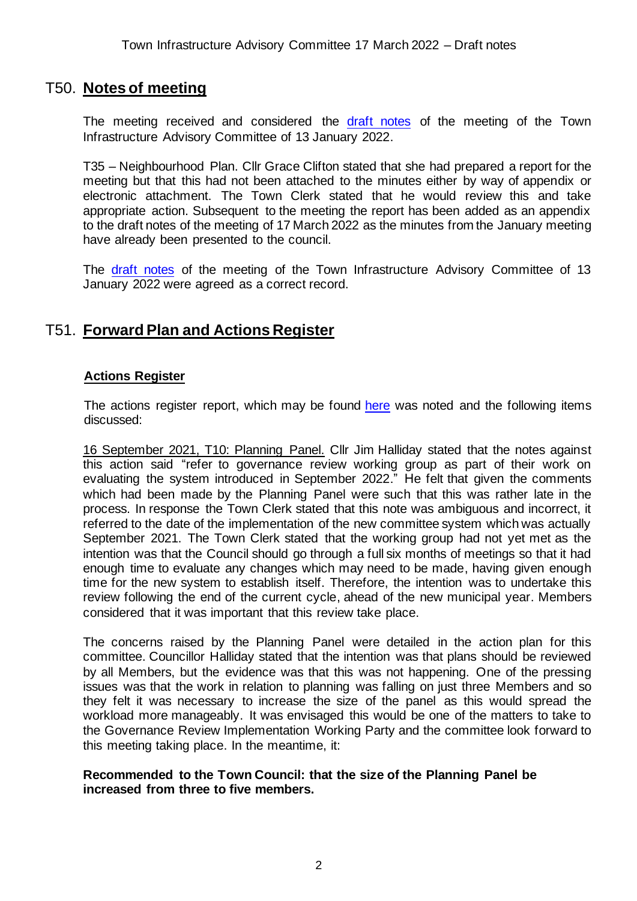## T50. **Notes of meeting**

The meeting received and considered the [draft notes](https://www.abingdon.gov.uk/wp-content/uploads/2022/01/Draft-notes-13.1.22-Town-Infrastructure-Advisory-Cee.pdf) of the meeting of the Town Infrastructure Advisory Committee of 13 January 2022.

T35 – Neighbourhood Plan. Cllr Grace Clifton stated that she had prepared a report for the meeting but that this had not been attached to the minutes either by way of appendix or electronic attachment. The Town Clerk stated that he would review this and take appropriate action. Subsequent to the meeting the report has been added as an appendix to the draft notes of the meeting of 17 March 2022 as the minutes from the January meeting have already been presented to the council.

The [draft notes](https://www.abingdon.gov.uk/wp-content/uploads/2022/01/Draft-notes-13.1.22-Town-Infrastructure-Advisory-Cee.pdf) of the meeting of the Town Infrastructure Advisory Committee of 13 January 2022 were agreed as a correct record.

## T51. **Forward Plan and Actions Register**

#### **Actions Register**

The actions register report, which may be found [here](https://www.abingdon.gov.uk/wp-content/uploads/2022/03/Item-5-Actions-Register-17.3.22_Town-Infrastructure-Advisory-Cttee.pdf) was noted and the following items discussed:

16 September 2021, T10: Planning Panel. Cllr Jim Halliday stated that the notes against this action said "refer to governance review working group as part of their work on evaluating the system introduced in September 2022." He felt that given the comments which had been made by the Planning Panel were such that this was rather late in the process. In response the Town Clerk stated that this note was ambiguous and incorrect, it referred to the date of the implementation of the new committee system which was actually September 2021. The Town Clerk stated that the working group had not yet met as the intention was that the Council should go through a full six months of meetings so that it had enough time to evaluate any changes which may need to be made, having given enough time for the new system to establish itself. Therefore, the intention was to undertake this review following the end of the current cycle, ahead of the new municipal year. Members considered that it was important that this review take place.

The concerns raised by the Planning Panel were detailed in the action plan for this committee. Councillor Halliday stated that the intention was that plans should be reviewed by all Members, but the evidence was that this was not happening. One of the pressing issues was that the work in relation to planning was falling on just three Members and so they felt it was necessary to increase the size of the panel as this would spread the workload more manageably. It was envisaged this would be one of the matters to take to the Governance Review Implementation Working Party and the committee look forward to this meeting taking place. In the meantime, it:

#### **Recommended to the Town Council: that the size of the Planning Panel be increased from three to five members.**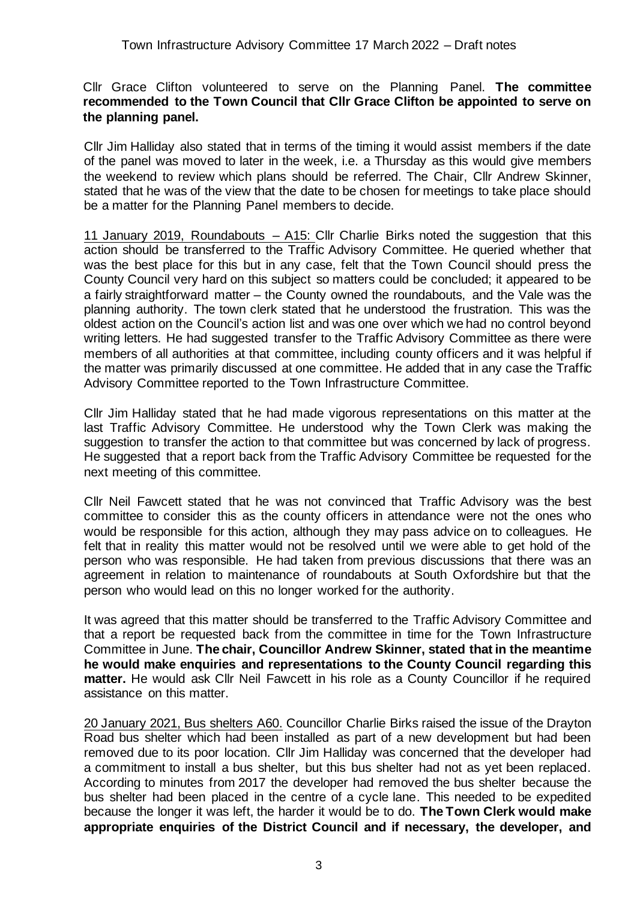#### Cllr Grace Clifton volunteered to serve on the Planning Panel. **The committee recommended to the Town Council that Cllr Grace Clifton be appointed to serve on the planning panel.**

Cllr Jim Halliday also stated that in terms of the timing it would assist members if the date of the panel was moved to later in the week, i.e. a Thursday as this would give members the weekend to review which plans should be referred. The Chair, Cllr Andrew Skinner, stated that he was of the view that the date to be chosen for meetings to take place should be a matter for the Planning Panel members to decide.

11 January 2019, Roundabouts – A15: Cllr Charlie Birks noted the suggestion that this action should be transferred to the Traffic Advisory Committee. He queried whether that was the best place for this but in any case, felt that the Town Council should press the County Council very hard on this subject so matters could be concluded; it appeared to be a fairly straightforward matter – the County owned the roundabouts, and the Vale was the planning authority. The town clerk stated that he understood the frustration. This was the oldest action on the Council's action list and was one over which we had no control beyond writing letters. He had suggested transfer to the Traffic Advisory Committee as there were members of all authorities at that committee, including county officers and it was helpful if the matter was primarily discussed at one committee. He added that in any case the Traffic Advisory Committee reported to the Town Infrastructure Committee.

Cllr Jim Halliday stated that he had made vigorous representations on this matter at the last Traffic Advisory Committee. He understood why the Town Clerk was making the suggestion to transfer the action to that committee but was concerned by lack of progress. He suggested that a report back from the Traffic Advisory Committee be requested for the next meeting of this committee.

Cllr Neil Fawcett stated that he was not convinced that Traffic Advisory was the best committee to consider this as the county officers in attendance were not the ones who would be responsible for this action, although they may pass advice on to colleagues. He felt that in reality this matter would not be resolved until we were able to get hold of the person who was responsible. He had taken from previous discussions that there was an agreement in relation to maintenance of roundabouts at South Oxfordshire but that the person who would lead on this no longer worked for the authority.

It was agreed that this matter should be transferred to the Traffic Advisory Committee and that a report be requested back from the committee in time for the Town Infrastructure Committee in June. **The chair, Councillor Andrew Skinner, stated that in the meantime he would make enquiries and representations to the County Council regarding this matter.** He would ask Cllr Neil Fawcett in his role as a County Councillor if he required assistance on this matter.

20 January 2021, Bus shelters A60. Councillor Charlie Birks raised the issue of the Drayton Road bus shelter which had been installed as part of a new development but had been removed due to its poor location. Cllr Jim Halliday was concerned that the developer had a commitment to install a bus shelter, but this bus shelter had not as yet been replaced. According to minutes from 2017 the developer had removed the bus shelter because the bus shelter had been placed in the centre of a cycle lane. This needed to be expedited because the longer it was left, the harder it would be to do. **The Town Clerk would make appropriate enquiries of the District Council and if necessary, the developer, and**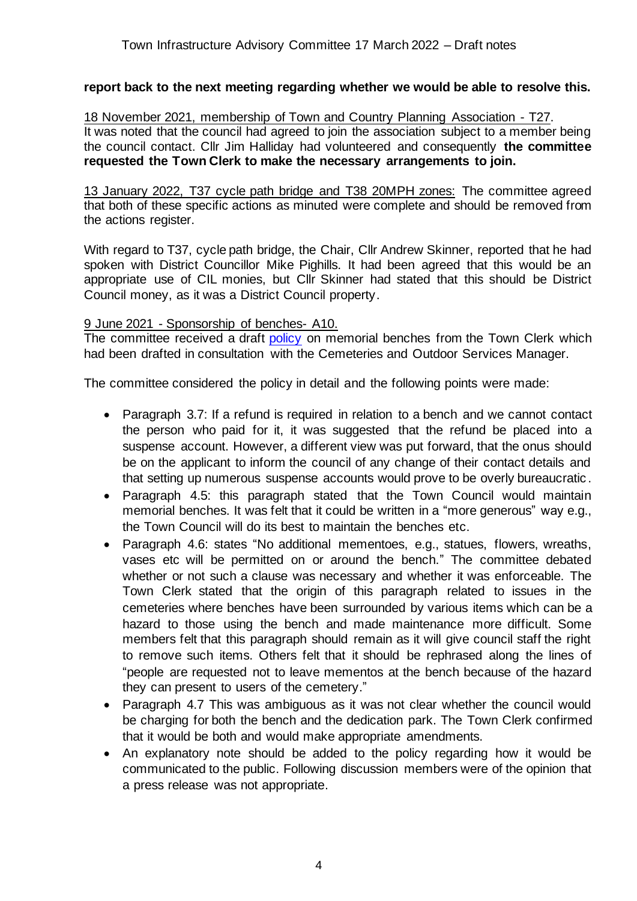#### **report back to the next meeting regarding whether we would be able to resolve this.**

18 November 2021, membership of Town and Country Planning Association - T27. It was noted that the council had agreed to join the association subject to a member being the council contact. Cllr Jim Halliday had volunteered and consequently **the committee requested the Town Clerk to make the necessary arrangements to join.**

13 January 2022, T37 cycle path bridge and T38 20MPH zones: The committee agreed that both of these specific actions as minuted were complete and should be removed from the actions register.

With regard to T37, cycle path bridge, the Chair, Cllr Andrew Skinner, reported that he had spoken with District Councillor Mike Pighills. It had been agreed that this would be an appropriate use of CIL monies, but Cllr Skinner had stated that this should be District Council money, as it was a District Council property.

#### 9 June 2021 - Sponsorship of benches- A10.

The committee received a draft [policy](https://www.abingdon.gov.uk/wp-content/uploads/2022/03/Item-5-Bench-Policy-17.3.22-Town-Infrastructure-Advisory-Cttee.pdf) on memorial benches from the Town Clerk which had been drafted in consultation with the Cemeteries and Outdoor Services Manager.

The committee considered the policy in detail and the following points were made:

- Paragraph 3.7: If a refund is required in relation to a bench and we cannot contact the person who paid for it, it was suggested that the refund be placed into a suspense account. However, a different view was put forward, that the onus should be on the applicant to inform the council of any change of their contact details and that setting up numerous suspense accounts would prove to be overly bureaucratic .
- Paragraph 4.5: this paragraph stated that the Town Council would maintain memorial benches. It was felt that it could be written in a "more generous" way e.g., the Town Council will do its best to maintain the benches etc.
- Paragraph 4.6: states "No additional mementoes, e.g., statues, flowers, wreaths, vases etc will be permitted on or around the bench." The committee debated whether or not such a clause was necessary and whether it was enforceable. The Town Clerk stated that the origin of this paragraph related to issues in the cemeteries where benches have been surrounded by various items which can be a hazard to those using the bench and made maintenance more difficult. Some members felt that this paragraph should remain as it will give council staff the right to remove such items. Others felt that it should be rephrased along the lines of "people are requested not to leave mementos at the bench because of the hazard they can present to users of the cemetery."
- Paragraph 4.7 This was ambiguous as it was not clear whether the council would be charging for both the bench and the dedication park. The Town Clerk confirmed that it would be both and would make appropriate amendments.
- An explanatory note should be added to the policy regarding how it would be communicated to the public. Following discussion members were of the opinion that a press release was not appropriate.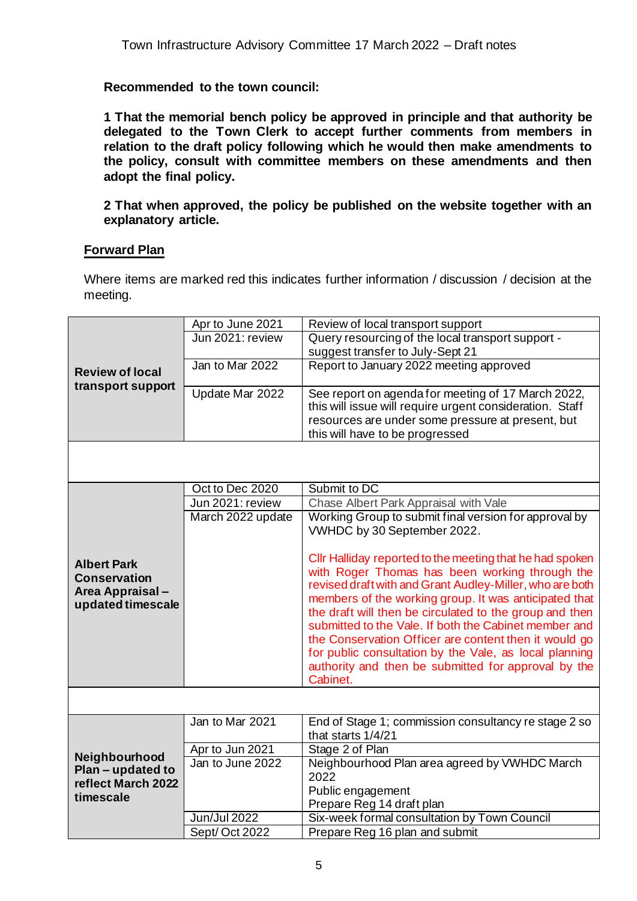#### **Recommended to the town council:**

**1 That the memorial bench policy be approved in principle and that authority be delegated to the Town Clerk to accept further comments from members in relation to the draft policy following which he would then make amendments to the policy, consult with committee members on these amendments and then adopt the final policy.**

**2 That when approved, the policy be published on the website together with an explanatory article.**

#### **Forward Plan**

Where items are marked red this indicates further information / discussion / decision at the meeting.

| <b>Review of local</b><br>transport support                             | Apr to June 2021    | Review of local transport support                               |
|-------------------------------------------------------------------------|---------------------|-----------------------------------------------------------------|
|                                                                         | Jun 2021: review    | Query resourcing of the local transport support -               |
|                                                                         |                     | suggest transfer to July-Sept 21                                |
|                                                                         | Jan to Mar 2022     | Report to January 2022 meeting approved                         |
|                                                                         |                     |                                                                 |
|                                                                         | Update Mar 2022     | See report on agenda for meeting of 17 March 2022,              |
|                                                                         |                     | this will issue will require urgent consideration. Staff        |
|                                                                         |                     | resources are under some pressure at present, but               |
|                                                                         |                     | this will have to be progressed                                 |
|                                                                         |                     |                                                                 |
|                                                                         |                     |                                                                 |
|                                                                         | Oct to Dec 2020     | Submit to DC                                                    |
|                                                                         | Jun 2021: review    | Chase Albert Park Appraisal with Vale                           |
|                                                                         | March 2022 update   | Working Group to submit final version for approval by           |
|                                                                         |                     | VWHDC by 30 September 2022.                                     |
|                                                                         |                     |                                                                 |
| <b>Albert Park</b>                                                      |                     | Cllr Halliday reported to the meeting that he had spoken        |
| <b>Conservation</b>                                                     |                     | with Roger Thomas has been working through the                  |
| Area Appraisal-                                                         |                     | revised draft with and Grant Audley-Miller, who are both        |
| updated timescale                                                       |                     | members of the working group. It was anticipated that           |
|                                                                         |                     | the draft will then be circulated to the group and then         |
|                                                                         |                     | submitted to the Vale. If both the Cabinet member and           |
|                                                                         |                     | the Conservation Officer are content then it would go           |
|                                                                         |                     | for public consultation by the Vale, as local planning          |
|                                                                         |                     | authority and then be submitted for approval by the<br>Cabinet. |
|                                                                         |                     |                                                                 |
|                                                                         |                     |                                                                 |
|                                                                         | Jan to Mar 2021     | End of Stage 1; commission consultancy re stage 2 so            |
| Neighbourhood<br>$Plan$ – updated to<br>reflect March 2022<br>timescale |                     | that starts 1/4/21                                              |
|                                                                         | Apr to Jun 2021     | Stage 2 of Plan                                                 |
|                                                                         | Jan to June 2022    | Neighbourhood Plan area agreed by VWHDC March                   |
|                                                                         |                     | 2022                                                            |
|                                                                         |                     | Public engagement                                               |
|                                                                         |                     | Prepare Reg 14 draft plan                                       |
|                                                                         | <b>Jun/Jul 2022</b> | Six-week formal consultation by Town Council                    |
|                                                                         | Sept/Oct 2022       | Prepare Reg 16 plan and submit                                  |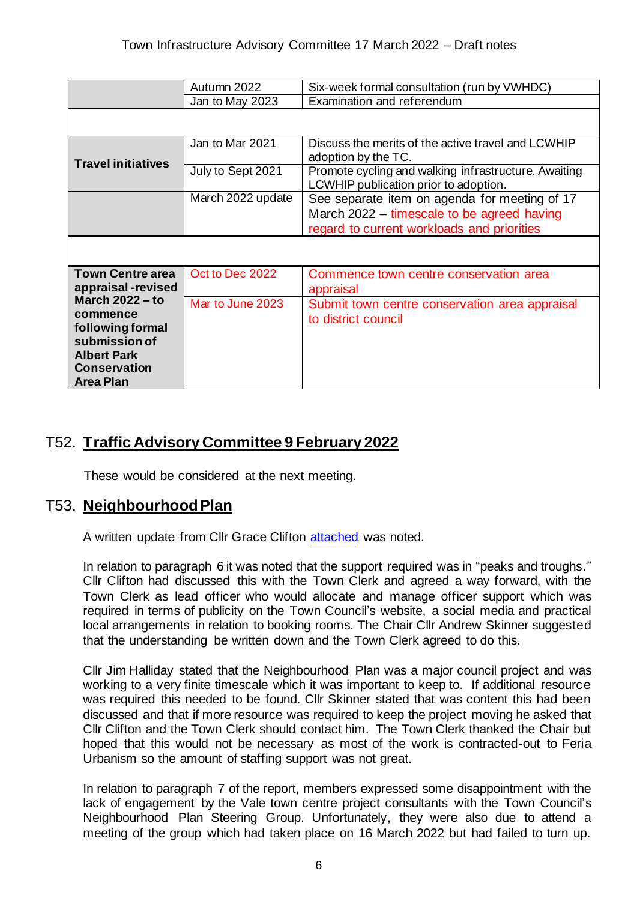|                                                                                                                                          | Autumn 2022       | Six-week formal consultation (run by VWHDC)                                                   |  |
|------------------------------------------------------------------------------------------------------------------------------------------|-------------------|-----------------------------------------------------------------------------------------------|--|
|                                                                                                                                          | Jan to May 2023   | Examination and referendum                                                                    |  |
|                                                                                                                                          |                   |                                                                                               |  |
| <b>Travel initiatives</b>                                                                                                                | Jan to Mar 2021   | Discuss the merits of the active travel and LCWHIP<br>adoption by the TC.                     |  |
|                                                                                                                                          | July to Sept 2021 | Promote cycling and walking infrastructure. Awaiting<br>LCWHIP publication prior to adoption. |  |
|                                                                                                                                          | March 2022 update | See separate item on agenda for meeting of 17                                                 |  |
|                                                                                                                                          |                   | March 2022 – timescale to be agreed having                                                    |  |
|                                                                                                                                          |                   | regard to current workloads and priorities                                                    |  |
|                                                                                                                                          |                   |                                                                                               |  |
| <b>Town Centre area</b><br>appraisal-revised                                                                                             | Oct to Dec 2022   | Commence town centre conservation area<br>appraisal                                           |  |
| <b>March 2022 - to</b><br>commence<br>following formal<br>submission of<br><b>Albert Park</b><br><b>Conservation</b><br><b>Area Plan</b> | Mar to June 2023  | Submit town centre conservation area appraisal<br>to district council                         |  |

## T52. **Traffic Advisory Committee 9 February 2022**

These would be considered at the next meeting.

# T53. **Neighbourhood Plan**

A written update from Cllr Grace Clifton [attached](https://www.abingdon.gov.uk/wp-content/uploads/2022/03/Neighbourhood-Plan-update-for-Town-Infrastructure-17-March-2022.pdf) was noted.

In relation to paragraph 6 it was noted that the support required was in "peaks and troughs." Cllr Clifton had discussed this with the Town Clerk and agreed a way forward, with the Town Clerk as lead officer who would allocate and manage officer support which was required in terms of publicity on the Town Council's website, a social media and practical local arrangements in relation to booking rooms. The Chair Cllr Andrew Skinner suggested that the understanding be written down and the Town Clerk agreed to do this.

Cllr Jim Halliday stated that the Neighbourhood Plan was a major council project and was working to a very finite timescale which it was important to keep to. If additional resource was required this needed to be found. Cllr Skinner stated that was content this had been discussed and that if more resource was required to keep the project moving he asked that Cllr Clifton and the Town Clerk should contact him. The Town Clerk thanked the Chair but hoped that this would not be necessary as most of the work is contracted-out to Feria Urbanism so the amount of staffing support was not great.

In relation to paragraph 7 of the report, members expressed some disappointment with the lack of engagement by the Vale town centre project consultants with the Town Council's Neighbourhood Plan Steering Group. Unfortunately, they were also due to attend a meeting of the group which had taken place on 16 March 2022 but had failed to turn up.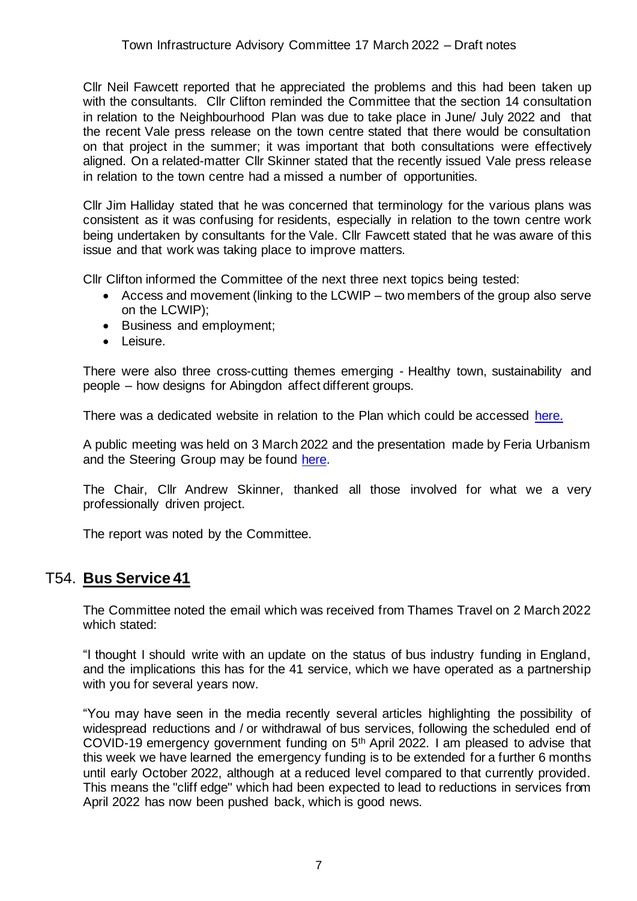Cllr Neil Fawcett reported that he appreciated the problems and this had been taken up with the consultants. Cllr Clifton reminded the Committee that the section 14 consultation in relation to the Neighbourhood Plan was due to take place in June/ July 2022 and that the recent Vale press release on the town centre stated that there would be consultation on that project in the summer; it was important that both consultations were effectively aligned. On a related-matter Cllr Skinner stated that the recently issued Vale press release in relation to the town centre had a missed a number of opportunities.

Cllr Jim Halliday stated that he was concerned that terminology for the various plans was consistent as it was confusing for residents, especially in relation to the town centre work being undertaken by consultants for the Vale. Cllr Fawcett stated that he was aware of this issue and that work was taking place to improve matters.

Cllr Clifton informed the Committee of the next three next topics being tested:

- Access and movement (linking to the LCWIP two members of the group also serve on the LCWIP);
- Business and employment;
- Leisure.

There were also three cross-cutting themes emerging - Healthy town, sustainability and people – how designs for Abingdon affect different groups.

There was a dedicated website in relation to the Plan which could be accessed [here.](https://www.abingdon-neighbourhood-plan.org/)

A public meeting was held on 3 March 2022 and the presentation made by Feria Urbanism and the Steering Group may be found [here.](https://www.abingdon-neighbourhood-plan.org/downloads)

The Chair, Cllr Andrew Skinner, thanked all those involved for what we a very professionally driven project.

The report was noted by the Committee.

## T54. **Bus Service 41**

The Committee noted the email which was received from Thames Travel on 2 March 2022 which stated:

"I thought I should write with an update on the status of bus industry funding in England, and the implications this has for the 41 service, which we have operated as a partnership with you for several years now.

"You may have seen in the media recently several articles highlighting the possibility of widespread reductions and / or withdrawal of bus services, following the scheduled end of COVID-19 emergency government funding on 5th April 2022. I am pleased to advise that this week we have learned the emergency funding is to be extended for a further 6 months until early October 2022, although at a reduced level compared to that currently provided. This means the "cliff edge" which had been expected to lead to reductions in services from April 2022 has now been pushed back, which is good news.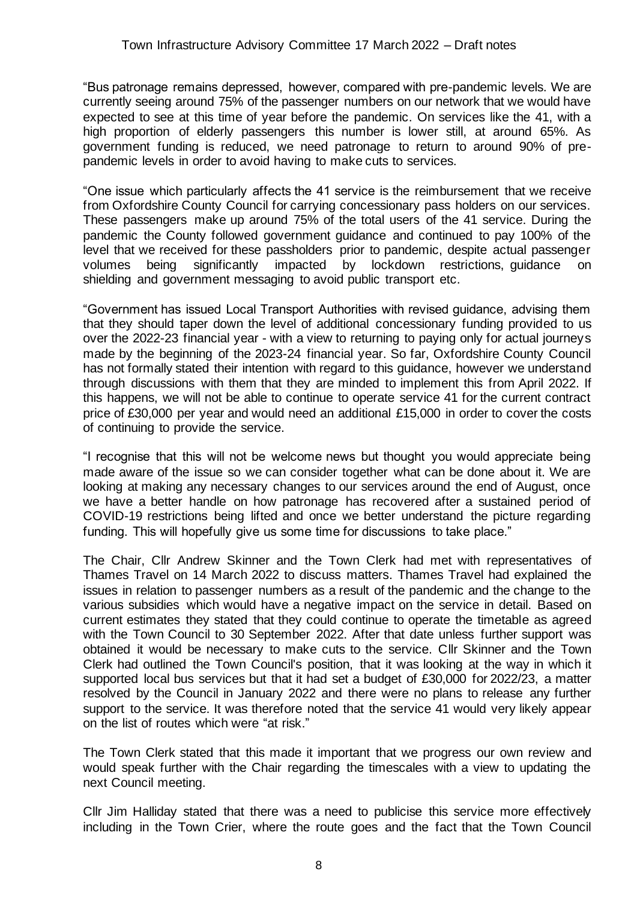"Bus patronage remains depressed, however, compared with pre-pandemic levels. We are currently seeing around 75% of the passenger numbers on our network that we would have expected to see at this time of year before the pandemic. On services like the 41, with a high proportion of elderly passengers this number is lower still, at around 65%. As government funding is reduced, we need patronage to return to around 90% of prepandemic levels in order to avoid having to make cuts to services.

"One issue which particularly affects the 41 service is the reimbursement that we receive from Oxfordshire County Council for carrying concessionary pass holders on our services. These passengers make up around 75% of the total users of the 41 service. During the pandemic the County followed government guidance and continued to pay 100% of the level that we received for these passholders prior to pandemic, despite actual passenger volumes being significantly impacted by lockdown restrictions, guidance on shielding and government messaging to avoid public transport etc.

"Government has issued Local Transport Authorities with revised guidance, advising them that they should taper down the level of additional concessionary funding provided to us over the 2022-23 financial year - with a view to returning to paying only for actual journeys made by the beginning of the 2023-24 financial year. So far, Oxfordshire County Council has not formally stated their intention with regard to this guidance, however we understand through discussions with them that they are minded to implement this from April 2022. If this happens, we will not be able to continue to operate service 41 for the current contract price of £30,000 per year and would need an additional £15,000 in order to cover the costs of continuing to provide the service.

"I recognise that this will not be welcome news but thought you would appreciate being made aware of the issue so we can consider together what can be done about it. We are looking at making any necessary changes to our services around the end of August, once we have a better handle on how patronage has recovered after a sustained period of COVID-19 restrictions being lifted and once we better understand the picture regarding funding. This will hopefully give us some time for discussions to take place."

The Chair, Cllr Andrew Skinner and the Town Clerk had met with representatives of Thames Travel on 14 March 2022 to discuss matters. Thames Travel had explained the issues in relation to passenger numbers as a result of the pandemic and the change to the various subsidies which would have a negative impact on the service in detail. Based on current estimates they stated that they could continue to operate the timetable as agreed with the Town Council to 30 September 2022. After that date unless further support was obtained it would be necessary to make cuts to the service. Cllr Skinner and the Town Clerk had outlined the Town Council's position, that it was looking at the way in which it supported local bus services but that it had set a budget of £30,000 for 2022/23, a matter resolved by the Council in January 2022 and there were no plans to release any further support to the service. It was therefore noted that the service 41 would very likely appear on the list of routes which were "at risk."

The Town Clerk stated that this made it important that we progress our own review and would speak further with the Chair regarding the timescales with a view to updating the next Council meeting.

Cllr Jim Halliday stated that there was a need to publicise this service more effectively including in the Town Crier, where the route goes and the fact that the Town Council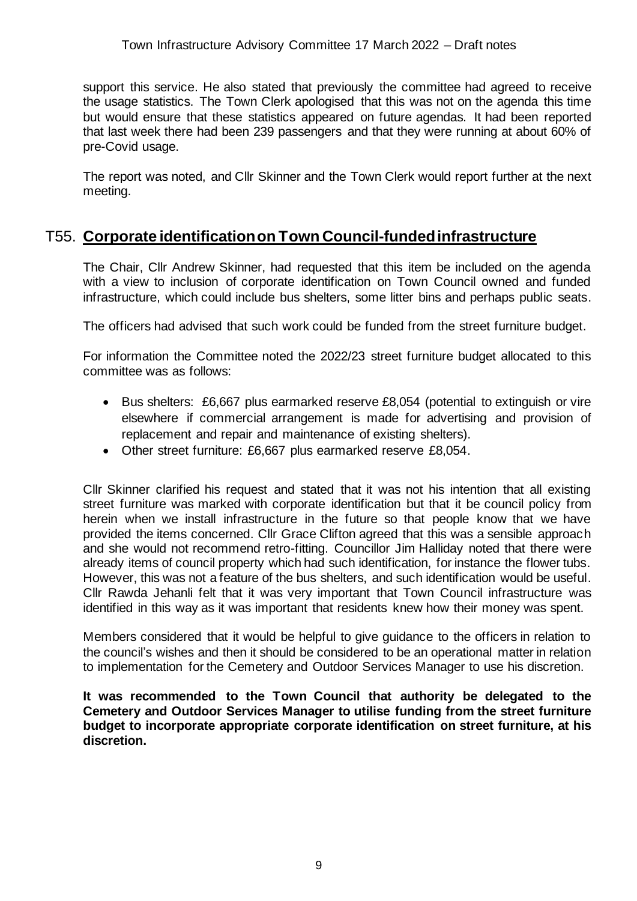#### Town Infrastructure Advisory Committee 17 March 2022 – Draft notes

support this service. He also stated that previously the committee had agreed to receive the usage statistics. The Town Clerk apologised that this was not on the agenda this time but would ensure that these statistics appeared on future agendas. It had been reported that last week there had been 239 passengers and that they were running at about 60% of pre-Covid usage.

The report was noted, and Cllr Skinner and the Town Clerk would report further at the next meeting.

## T55. **Corporate identification on Town Council-funded infrastructure**

The Chair, Cllr Andrew Skinner, had requested that this item be included on the agenda with a view to inclusion of corporate identification on Town Council owned and funded infrastructure, which could include bus shelters, some litter bins and perhaps public seats.

The officers had advised that such work could be funded from the street furniture budget.

For information the Committee noted the 2022/23 street furniture budget allocated to this committee was as follows:

- Bus shelters: £6,667 plus earmarked reserve £8,054 (potential to extinguish or vire elsewhere if commercial arrangement is made for advertising and provision of replacement and repair and maintenance of existing shelters).
- Other street furniture: £6,667 plus earmarked reserve £8,054.

Cllr Skinner clarified his request and stated that it was not his intention that all existing street furniture was marked with corporate identification but that it be council policy from herein when we install infrastructure in the future so that people know that we have provided the items concerned. Cllr Grace Clifton agreed that this was a sensible approach and she would not recommend retro-fitting. Councillor Jim Halliday noted that there were already items of council property which had such identification, for instance the flower tubs. However, this was not a feature of the bus shelters, and such identification would be useful. Cllr Rawda Jehanli felt that it was very important that Town Council infrastructure was identified in this way as it was important that residents knew how their money was spent.

Members considered that it would be helpful to give guidance to the officers in relation to the council's wishes and then it should be considered to be an operational matter in relation to implementation for the Cemetery and Outdoor Services Manager to use his discretion.

**It was recommended to the Town Council that authority be delegated to the Cemetery and Outdoor Services Manager to utilise funding from the street furniture budget to incorporate appropriate corporate identification on street furniture, at his discretion.**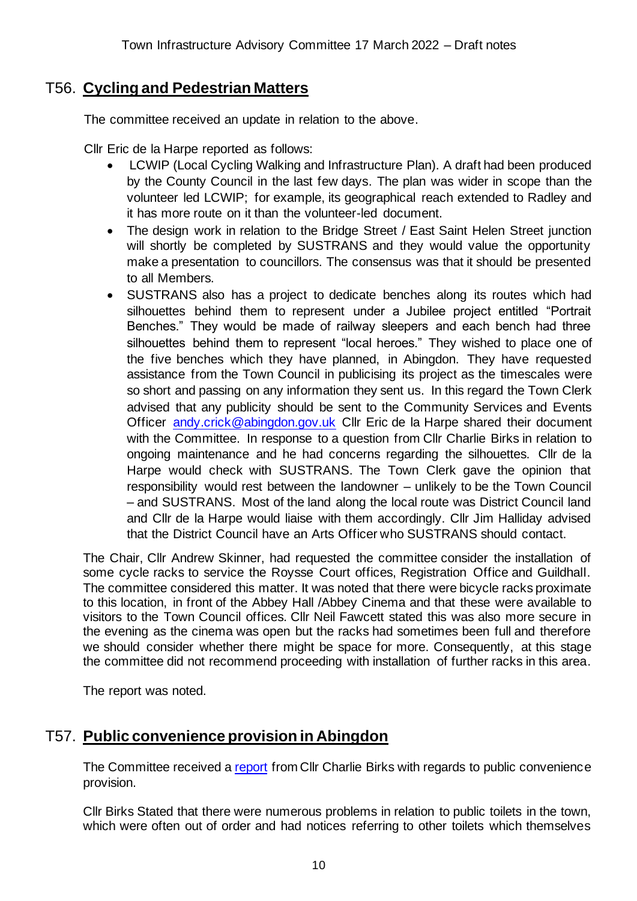## T56. **Cycling and Pedestrian Matters**

The committee received an update in relation to the above.

Cllr Eric de la Harpe reported as follows:

- LCWIP (Local Cycling Walking and Infrastructure Plan). A draft had been produced by the County Council in the last few days. The plan was wider in scope than the volunteer led LCWIP; for example, its geographical reach extended to Radley and it has more route on it than the volunteer-led document.
- The design work in relation to the Bridge Street / East Saint Helen Street junction will shortly be completed by SUSTRANS and they would value the opportunity make a presentation to councillors. The consensus was that it should be presented to all Members.
- SUSTRANS also has a project to dedicate benches along its routes which had silhouettes behind them to represent under a Jubilee project entitled "Portrait Benches." They would be made of railway sleepers and each bench had three silhouettes behind them to represent "local heroes." They wished to place one of the five benches which they have planned, in Abingdon. They have requested assistance from the Town Council in publicising its project as the timescales were so short and passing on any information they sent us. In this regard the Town Clerk advised that any publicity should be sent to the Community Services and Events Officer [andy.crick@abingdon.gov.uk](mailto:andy.crick@abingdon.gov.uk) Cllr Eric de la Harpe shared their document with the Committee. In response to a question from Cllr Charlie Birks in relation to ongoing maintenance and he had concerns regarding the silhouettes. Cllr de la Harpe would check with SUSTRANS. The Town Clerk gave the opinion that responsibility would rest between the landowner – unlikely to be the Town Council – and SUSTRANS. Most of the land along the local route was District Council land and Cllr de la Harpe would liaise with them accordingly. Cllr Jim Halliday advised that the District Council have an Arts Officer who SUSTRANS should contact.

The Chair, Cllr Andrew Skinner, had requested the committee consider the installation of some cycle racks to service the Roysse Court offices, Registration Office and Guildhall. The committee considered this matter. It was noted that there were bicycle racks proximate to this location, in front of the Abbey Hall /Abbey Cinema and that these were available to visitors to the Town Council offices. Cllr Neil Fawcett stated this was also more secure in the evening as the cinema was open but the racks had sometimes been full and therefore we should consider whether there might be space for more. Consequently, at this stage the committee did not recommend proceeding with installation of further racks in this area.

The report was noted.

# T57. **Public convenience provision in Abingdon**

The Committee received a [report](https://www.abingdon.gov.uk/wp-content/uploads/2022/03/Item-11-Abingdon-Public-Conveniences-17.3.22-Town-Infrastructure-Advisory-Cttee.pdf) from Cllr Charlie Birks with regards to public convenience provision.

Cllr Birks Stated that there were numerous problems in relation to public toilets in the town, which were often out of order and had notices referring to other toilets which themselves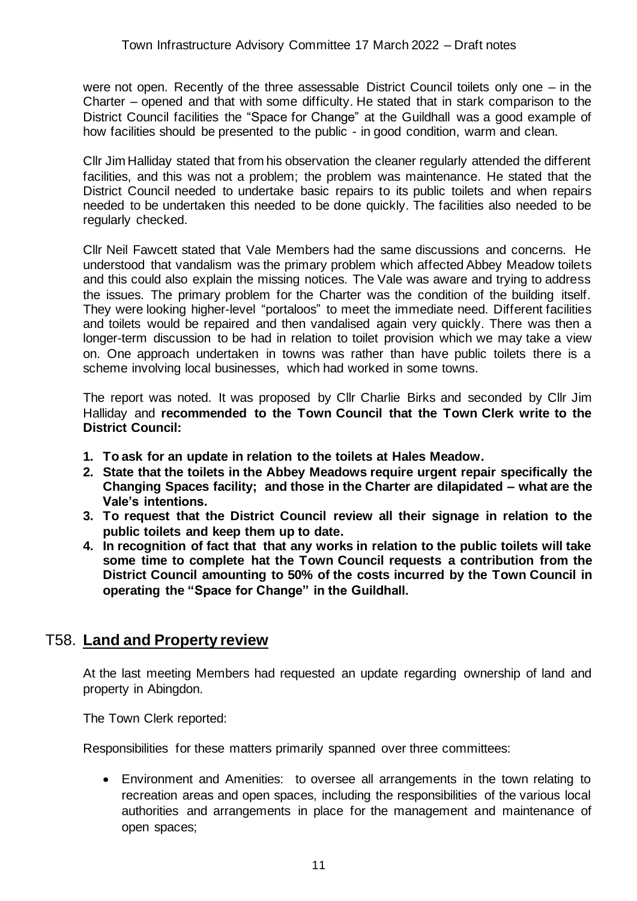were not open. Recently of the three assessable District Council toilets only one – in the Charter – opened and that with some difficulty. He stated that in stark comparison to the District Council facilities the "Space for Change" at the Guildhall was a good example of how facilities should be presented to the public - in good condition, warm and clean.

Cllr Jim Halliday stated that from his observation the cleaner regularly attended the different facilities, and this was not a problem; the problem was maintenance. He stated that the District Council needed to undertake basic repairs to its public toilets and when repairs needed to be undertaken this needed to be done quickly. The facilities also needed to be regularly checked.

Cllr Neil Fawcett stated that Vale Members had the same discussions and concerns. He understood that vandalism was the primary problem which affected Abbey Meadow toilets and this could also explain the missing notices. The Vale was aware and trying to address the issues. The primary problem for the Charter was the condition of the building itself. They were looking higher-level "portaloos" to meet the immediate need. Different facilities and toilets would be repaired and then vandalised again very quickly. There was then a longer-term discussion to be had in relation to toilet provision which we may take a view on. One approach undertaken in towns was rather than have public toilets there is a scheme involving local businesses, which had worked in some towns.

The report was noted. It was proposed by Cllr Charlie Birks and seconded by Cllr Jim Halliday and **recommended to the Town Council that the Town Clerk write to the District Council:**

- **1. To ask for an update in relation to the toilets at Hales Meadow.**
- **2. State that the toilets in the Abbey Meadows require urgent repair specifically the Changing Spaces facility; and those in the Charter are dilapidated – what are the Vale's intentions.**
- **3. To request that the District Council review all their signage in relation to the public toilets and keep them up to date.**
- **4. In recognition of fact that that any works in relation to the public toilets will take some time to complete hat the Town Council requests a contribution from the District Council amounting to 50% of the costs incurred by the Town Council in operating the "Space for Change" in the Guildhall.**

## T58. **Land and Property review**

At the last meeting Members had requested an update regarding ownership of land and property in Abingdon.

The Town Clerk reported:

Responsibilities for these matters primarily spanned over three committees:

• Environment and Amenities: to oversee all arrangements in the town relating to recreation areas and open spaces, including the responsibilities of the various local authorities and arrangements in place for the management and maintenance of open spaces;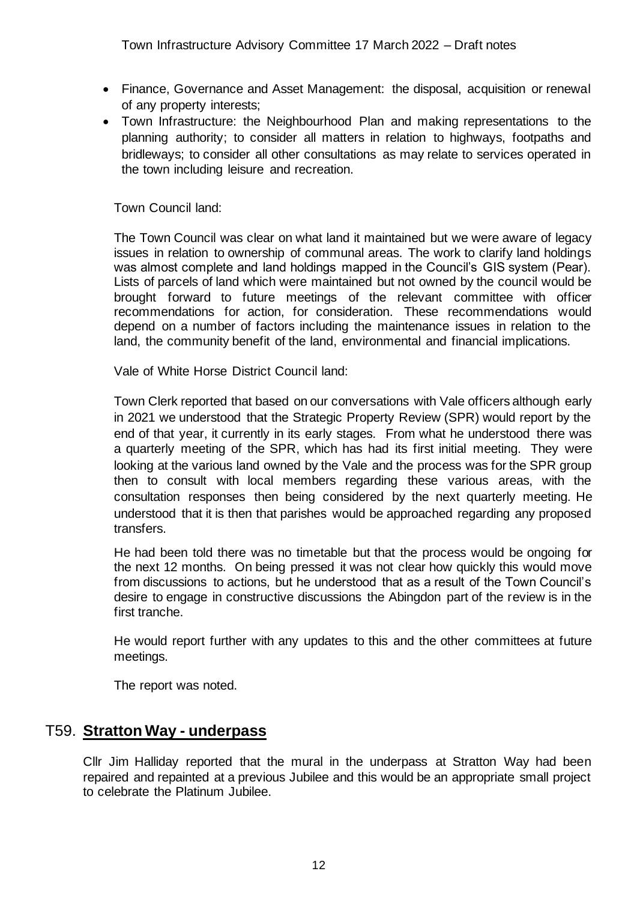- Finance, Governance and Asset Management: the disposal, acquisition or renewal of any property interests;
- Town Infrastructure: the Neighbourhood Plan and making representations to the planning authority; to consider all matters in relation to highways, footpaths and bridleways; to consider all other consultations as may relate to services operated in the town including leisure and recreation.

Town Council land:

The Town Council was clear on what land it maintained but we were aware of legacy issues in relation to ownership of communal areas. The work to clarify land holdings was almost complete and land holdings mapped in the Council's GIS system (Pear). Lists of parcels of land which were maintained but not owned by the council would be brought forward to future meetings of the relevant committee with officer recommendations for action, for consideration. These recommendations would depend on a number of factors including the maintenance issues in relation to the land, the community benefit of the land, environmental and financial implications.

Vale of White Horse District Council land:

Town Clerk reported that based on our conversations with Vale officers although early in 2021 we understood that the Strategic Property Review (SPR) would report by the end of that year, it currently in its early stages. From what he understood there was a quarterly meeting of the SPR, which has had its first initial meeting. They were looking at the various land owned by the Vale and the process was for the SPR group then to consult with local members regarding these various areas, with the consultation responses then being considered by the next quarterly meeting. He understood that it is then that parishes would be approached regarding any proposed transfers.

He had been told there was no timetable but that the process would be ongoing for the next 12 months. On being pressed it was not clear how quickly this would move from discussions to actions, but he understood that as a result of the Town Council's desire to engage in constructive discussions the Abingdon part of the review is in the first tranche.

He would report further with any updates to this and the other committees at future meetings.

The report was noted.

## T59. **Stratton Way - underpass**

Cllr Jim Halliday reported that the mural in the underpass at Stratton Way had been repaired and repainted at a previous Jubilee and this would be an appropriate small project to celebrate the Platinum Jubilee.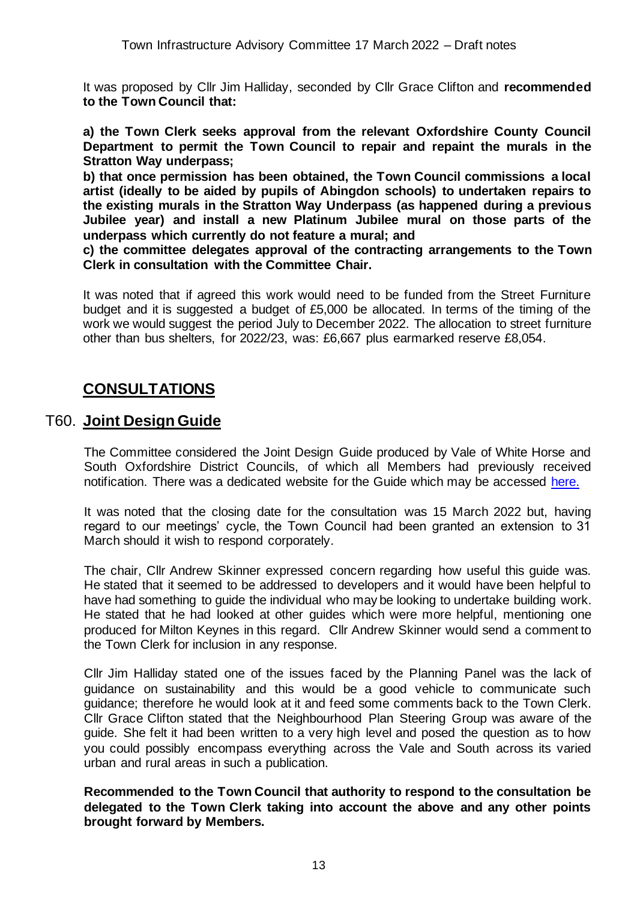It was proposed by Cllr Jim Halliday, seconded by Cllr Grace Clifton and **recommended to the Town Council that:**

**a) the Town Clerk seeks approval from the relevant Oxfordshire County Council Department to permit the Town Council to repair and repaint the murals in the Stratton Way underpass;**

**b) that once permission has been obtained, the Town Council commissions a local artist (ideally to be aided by pupils of Abingdon schools) to undertaken repairs to the existing murals in the Stratton Way Underpass (as happened during a previous Jubilee year) and install a new Platinum Jubilee mural on those parts of the underpass which currently do not feature a mural; and** 

**c) the committee delegates approval of the contracting arrangements to the Town Clerk in consultation with the Committee Chair.**

It was noted that if agreed this work would need to be funded from the Street Furniture budget and it is suggested a budget of £5,000 be allocated. In terms of the timing of the work we would suggest the period July to December 2022. The allocation to street furniture other than bus shelters, for 2022/23, was: £6,667 plus earmarked reserve £8,054.

## **CONSULTATIONS**

## T60. **Joint Design Guide**

The Committee considered the Joint Design Guide produced by Vale of White Horse and South Oxfordshire District Councils, of which all Members had previously received notification. There was a dedicated website for the Guide which may be accessed [here.](https://data.southoxon.gov.uk/JDG/Guide.html)

It was noted that the closing date for the consultation was 15 March 2022 but, having regard to our meetings' cycle, the Town Council had been granted an extension to 31 March should it wish to respond corporately.

The chair, Cllr Andrew Skinner expressed concern regarding how useful this guide was. He stated that it seemed to be addressed to developers and it would have been helpful to have had something to guide the individual who may be looking to undertake building work. He stated that he had looked at other guides which were more helpful, mentioning one produced for Milton Keynes in this regard. Cllr Andrew Skinner would send a comment to the Town Clerk for inclusion in any response.

Cllr Jim Halliday stated one of the issues faced by the Planning Panel was the lack of guidance on sustainability and this would be a good vehicle to communicate such guidance; therefore he would look at it and feed some comments back to the Town Clerk. Cllr Grace Clifton stated that the Neighbourhood Plan Steering Group was aware of the guide. She felt it had been written to a very high level and posed the question as to how you could possibly encompass everything across the Vale and South across its varied urban and rural areas in such a publication.

**Recommended to the Town Council that authority to respond to the consultation be delegated to the Town Clerk taking into account the above and any other points brought forward by Members.**